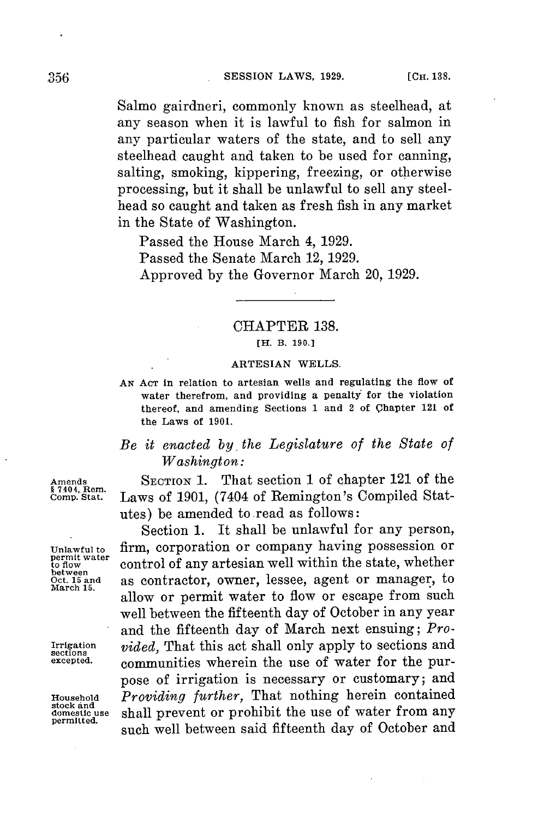Salmo gairdneri, commonly known as steelhead, at any season when it is lawful to fish for salmon in any particular waters of the state, and to sell any steelhead caught and taken to be used for canning, salting, smoking, kippering, freezing, or otherwise processing, but it shall be unlawful to sell any steelhead so caught and taken as fresh fish in any market in the State of Washington.

Passed the House March 4, **1929.** Passed the Senate March 12, **1929.** Approved **by** the Governor March 20, **1929.**

## CHAPTER **138.**

**[H. B. 190.]**

## **ARTESIAN WELLS.**

**AN AcT in relation to artesian wells and regulating the flow of water therefrom, and providing a penalty for the violation thereof, and amending Sections 1 and 2 of Chapter 121 of the Laws of 1901.**

## *Be it enacted by, the Legislature of the State of Washington:*

**Amends SECTION** 1. That section 1 of chapter 121 of the Laws of 1901, (7404 of Remington's Compiled Statutes) be amended to.read as follows:

Section **1.** It shall be unlawful for any person, Unlawful to firm, corporation or company having possession or permit water control of any artesian well within the state, whether **permit water** control of any artesian well within the state, whether between **Oct. 15 and** as contractor, owner, lessee, agent or manager, to allow or permit water to flow or escape from such well between the fifteenth day of October in any year and the fifteenth day of March next ensuing; *Pro-*Irrigation *vided*, That this act shall only apply to sections and sections  $\frac{\text{arrows}}{\text{excessed}}$  communities wherein the use of water for the nur**excepted.** communities wherein the use of water **for** the purpose of irrigation is necessary or customary; and **Household** *Providing further,* That nothing herein contained **domestic use** shall prevent or prohibit the use of water from any **permitted,** such well between said fifteenth day of October and

**§ 7404, Rem.**

**March 15.**

**stock and**